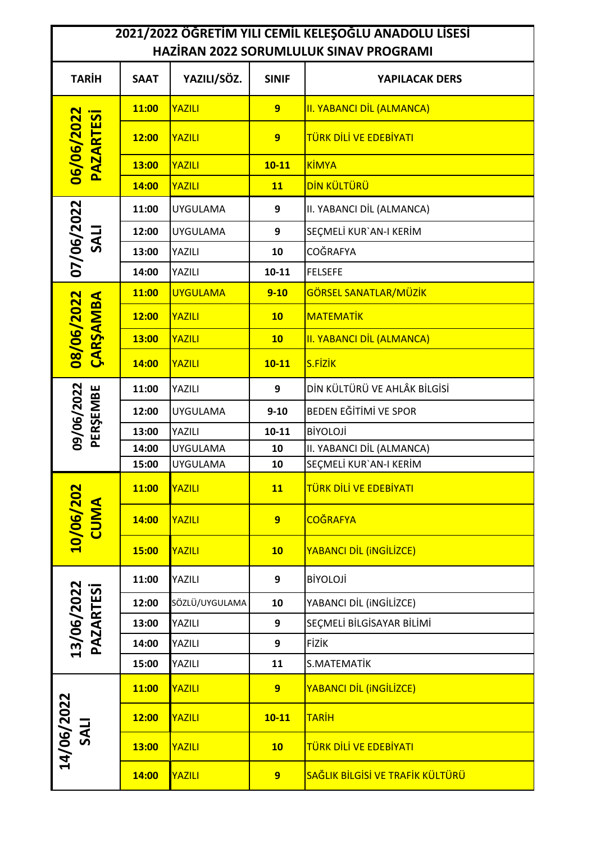## **2021/2022 ÖĞRETİM YILI CEMİL KELEŞOĞLU ANADOLU LİSESİ HAZİRAN 2022 SORUMLULUK SINAV PROGRAMI**

| <b>IIALIININ ZULL JUNUIVILULUN JIIVAV FINUUNAIVII</b> |             |                 |                |                                  |  |  |
|-------------------------------------------------------|-------------|-----------------|----------------|----------------------------------|--|--|
| <b>TARİH</b>                                          | <b>SAAT</b> | YAZILI/SÖZ.     | <b>SINIF</b>   | YAPILACAK DERS                   |  |  |
| 06/06/2022<br><b>PAZARTESi</b>                        | 11:00       | YAZILI          | $\overline{9}$ | <b>II. YABANCI DİL (ALMANCA)</b> |  |  |
|                                                       | 12:00       | YAZILI          | $\overline{9}$ | TÜRK DİLİ VE EDEBİYATI           |  |  |
|                                                       | 13:00       | YAZILI          | $10 - 11$      | KİMYA                            |  |  |
|                                                       | 14:00       | YAZILI          | <b>11</b>      | <b>DİN KÜLTÜRÜ</b>               |  |  |
| 07/06/2022<br><b>ITAS</b>                             | 11:00       | <b>UYGULAMA</b> | 9              | II. YABANCI DİL (ALMANCA)        |  |  |
|                                                       | 12:00       | <b>UYGULAMA</b> | 9              | SEÇMELİ KUR'AN-I KERİM           |  |  |
|                                                       | 13:00       | YAZILI          | 10             | <b>COĞRAFYA</b>                  |  |  |
|                                                       | 14:00       | YAZILI          | $10 - 11$      | <b>FELSEFE</b>                   |  |  |
| 08/06/2022<br>CARSAMBA                                | 11:00       | <b>UYGULAMA</b> | $9 - 10$       | GÖRSEL SANATLAR/MÜZİK            |  |  |
|                                                       | 12:00       | YAZILI          | 10             | <b>MATEMATİK</b>                 |  |  |
|                                                       | 13:00       | YAZILI          | 10             | <b>II. YABANCI DİL (ALMANCA)</b> |  |  |
|                                                       | 14:00       | YAZILI          | $10 - 11$      | <b>S.FİZİK</b>                   |  |  |
|                                                       | 11:00       | YAZILI          | 9              | DİN KÜLTÜRÜ VE AHLÂK BİLGİSİ     |  |  |
| 09/06/2022<br>PERŞEMBE                                | 12:00       | <b>UYGULAMA</b> | $9 - 10$       | BEDEN EĞİTİMİ VE SPOR            |  |  |
|                                                       | 13:00       | YAZILI          | $10 - 11$      | <b>BİYOLOJİ</b>                  |  |  |
|                                                       | 14:00       | <b>UYGULAMA</b> | 10             | II. YABANCI DİL (ALMANCA)        |  |  |
|                                                       | 15:00       | <b>UYGULAMA</b> | 10             | SEÇMELİ KUR'AN-I KERİM           |  |  |
| $\overline{50}$<br>10/06/20                           | 11:00       | YAZILI          | <b>11</b>      | TÜRK DİLİ VE EDEBİYATI           |  |  |
|                                                       | 14:00       | YAZILI          | $\overline{9}$ | <b>COĞRAFYA</b>                  |  |  |
|                                                       | 15:00       | YAZILI          | 10             | YABANCI DİL (INGİLİZCE)          |  |  |
| 13/06/2022<br><b>PAZARTESİ</b>                        | 11:00       | YAZILI          | 9              | <b>BİYOLOJİ</b>                  |  |  |
|                                                       | 12:00       | SÖZLÜ/UYGULAMA  | 10             | YABANCI DİL (iNGİLİZCE)          |  |  |
|                                                       | 13:00       | YAZILI          | 9              | SEÇMELİ BİLGİSAYAR BİLİMİ        |  |  |
|                                                       | 14:00       | YAZILI          | 9              | <b>FİZİK</b>                     |  |  |
|                                                       | 15:00       | YAZILI          | 11             | S.MATEMATİK                      |  |  |
| 14/06/2022<br>SALI                                    | 11:00       | YAZILI          | 9              | YABANCI DİL (INGİLİZCE)          |  |  |
|                                                       | 12:00       | YAZILI          | $10 - 11$      | <b>TARİH</b>                     |  |  |
|                                                       | 13:00       | YAZILI          | 10             | TÜRK DİLİ VE EDEBİYATI           |  |  |
|                                                       | 14:00       | <b>YAZILI</b>   | 9 <sup>°</sup> | SAĞLIK BİLGİSİ VE TRAFİK KÜLTÜRÜ |  |  |